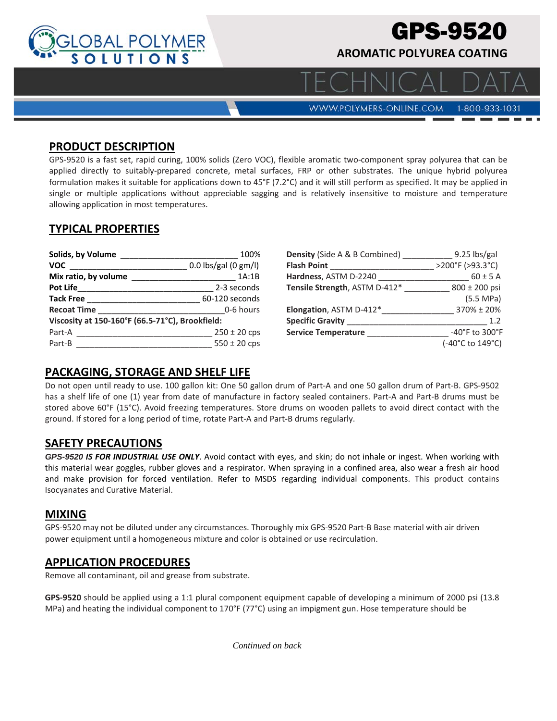

# GPS-9520

**AROMATIC POLYUREA COATING** 

**WWW.POLYMERS-ONLINE.COM** 

#### 1-800-933-1031

#### **PRODUCT DESCRIPTION**

GPS-9520 is a fast set, rapid curing, 100% solids (Zero VOC), flexible aromatic two-component spray polyurea that can be applied directly to suitably-prepared concrete, metal surfaces, FRP or other substrates. The unique hybrid polyurea formulation makes it suitable for applications down to 45°F (7.2°C) and it will still perform as specified. It may be applied in single or multiple applications without appreciable sagging and is relatively insensitive to moisture and temperature allowing application in most temperatures.

## **TYPICAL PROPERTIES**

| Solids, by Volume                               | 100%                   |  |
|-------------------------------------------------|------------------------|--|
| <b>VOC</b>                                      | $0.0$ lbs/gal (0 gm/l) |  |
| Mix ratio, by volume                            | 1A:1B                  |  |
| <b>Pot Life</b>                                 | 2-3 seconds            |  |
| <b>Tack Free</b>                                | 60-120 seconds         |  |
| <b>Recoat Time</b>                              | 0-6 hours              |  |
| Viscosity at 150-160°F (66.5-71°C), Brookfield: |                        |  |
| Part-A                                          | $250 \pm 20$ cps       |  |
| Part-B                                          | $550 \pm 20$ cps       |  |

| <b>Density</b> (Side A & B Combined) | 9.25 lbs/gal     |
|--------------------------------------|------------------|
| <b>Flash Point</b>                   | >200°F (>93.3°C) |
| Hardness, ASTM D-2240                | $60 \pm 5$ A     |
| Tensile Strength, ASTM D-412*        | 800 ± 200 psi    |
|                                      | (5.5 MPa)        |
| Elongation, ASTM D-412*              | 370% ± 20%       |
| <b>Specific Gravity</b>              | 1.2              |
| <b>Service Temperature</b>           | -40°F to 300°F   |
|                                      | (-40°C to 149°C) |

## **PACKAGING, STORAGE AND SHELF LIFE**

Do not open until ready to use. 100 gallon kit: One 50 gallon drum of Part‐A and one 50 gallon drum of Part‐B. GPS‐9502 has a shelf life of one (1) year from date of manufacture in factory sealed containers. Part-A and Part-B drums must be stored above 60°F (15°C). Avoid freezing temperatures. Store drums on wooden pallets to avoid direct contact with the ground. If stored for a long period of time, rotate Part‐A and Part‐B drums regularly.

## **SAFETY PRECAUTIONS**

*GPS-9520 IS FOR INDUSTRIAL USE ONLY*. Avoid contact with eyes, and skin; do not inhale or ingest. When working with this material wear goggles, rubber gloves and a respirator. When spraying in a confined area, also wear a fresh air hood and make provision for forced ventilation. Refer to MSDS regarding individual components. This product contains Isocyanates and Curative Material.

## **MIXING**

GPS‐9520 may not be diluted under any circumstances. Thoroughly mix GPS‐9520 Part‐B Base material with air driven power equipment until a homogeneous mixture and color is obtained or use recirculation.

## **APPLICATION PROCEDURES**

Remove all contaminant, oil and grease from substrate.

**GPS‐9520** should be applied using a 1:1 plural component equipment capable of developing a minimum of 2000 psi (13.8 MPa) and heating the individual component to 170°F (77°C) using an impigment gun. Hose temperature should be